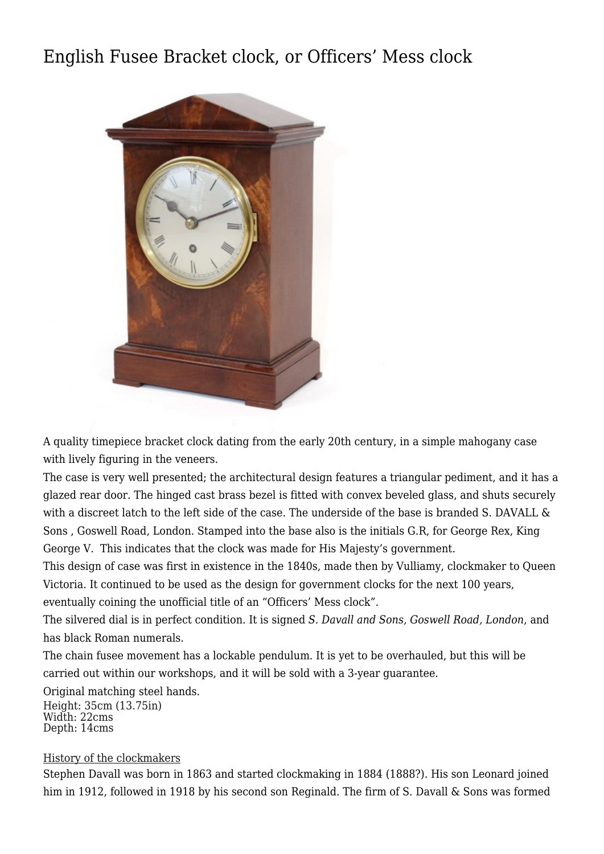## [English Fusee Bracket clock, or Officers' Mess clock](http://www.ukclocks.com/products/english-fusee-bracket-clock-officers-mess-clock/)



A quality timepiece bracket clock dating from the early 20th century, in a simple mahogany case with lively figuring in the veneers.

The case is very well presented; the architectural design features a triangular pediment, and it has a glazed rear door. The hinged cast brass bezel is fitted with convex beveled glass, and shuts securely with a discreet latch to the left side of the case. The underside of the base is branded S. DAVALL & Sons , Goswell Road, London. Stamped into the base also is the initials G.R, for George Rex, King George V. This indicates that the clock was made for His Majesty's government.

This design of case was first in existence in the 1840s, made then by Vulliamy, clockmaker to Queen Victoria. It continued to be used as the design for government clocks for the next 100 years, eventually coining the unofficial title of an "Officers' Mess clock".

The silvered dial is in perfect condition. It is signed *S. Davall and Sons, Goswell Road, London*, and has black Roman numerals.

The chain fusee movement has a lockable pendulum. It is yet to be overhauled, but this will be carried out within our workshops, and it will be sold with a 3-year guarantee.

Original matching steel hands. Height: 35cm (13.75in) Width: 22cms Depth: 14cms

## History of the clockmakers

Stephen Davall was born in 1863 and started clockmaking in 1884 (1888?). His son Leonard joined him in 1912, followed in 1918 by his second son Reginald. The firm of S. Davall & Sons was formed